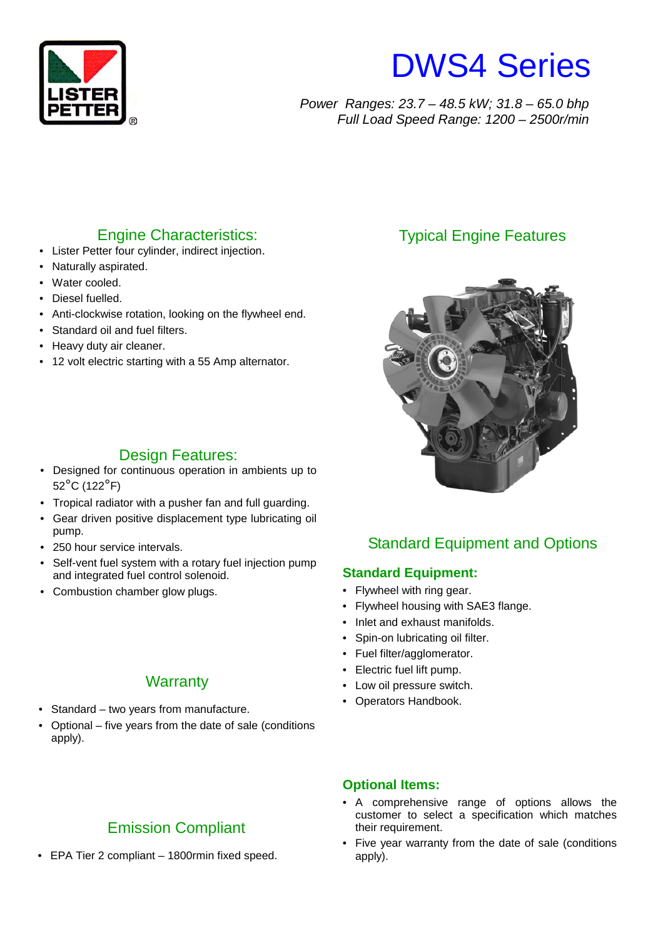

# DWS4 Series

*Power Ranges: 23.7 – 48.5 kW; 31.8 – 65.0 bhp Full Load Speed Range: 1200 – 2500r/min* 

# Engine Characteristics:

- Lister Petter four cylinder, indirect injection.
- Naturally aspirated.
- Water cooled.
- Diesel fuelled.
- Anti-clockwise rotation, looking on the flywheel end.
- Standard oil and fuel filters.
- Heavy duty air cleaner.
- 12 volt electric starting with a 55 Amp alternator.

#### Design Features:

- Designed for continuous operation in ambients up to 52°C (122°F)
- Tropical radiator with a pusher fan and full guarding.
- Gear driven positive displacement type lubricating oil pump.
- 250 hour service intervals.
- Self-vent fuel system with a rotary fuel injection pump and integrated fuel control solenoid.
- Combustion chamber glow plugs.

# **Warranty**

- Standard two years from manufacture.
- Optional five years from the date of sale (conditions apply).

# Typical Engine Features



# Standard Equipment and Options

#### **Standard Equipment:**

- Flywheel with ring gear.
- Flywheel housing with SAE3 flange.
- Inlet and exhaust manifolds.
- Spin-on lubricating oil filter.
- Fuel filter/agglomerator.
- Electric fuel lift pump.
- Low oil pressure switch.
- Operators Handbook.

# Emission Compliant

• EPA Tier 2 compliant – 1800rmin fixed speed.

#### **Optional Items:**

- A comprehensive range of options allows the customer to select a specification which matches their requirement.
- Five year warranty from the date of sale (conditions apply).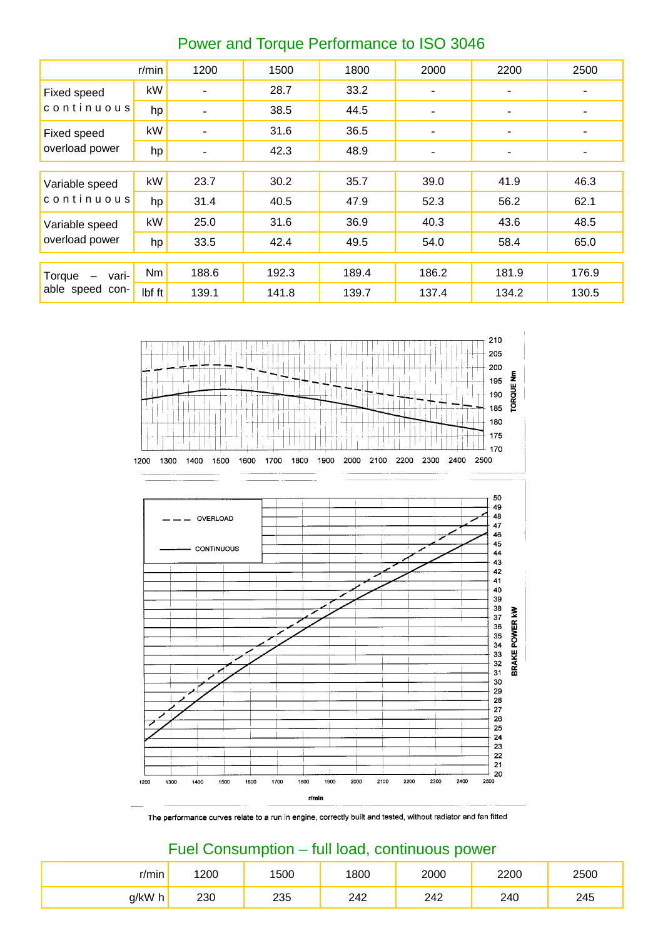|                               |       |      | Power and Torque Performance to ISO 3046 |      |                          |      |      |
|-------------------------------|-------|------|------------------------------------------|------|--------------------------|------|------|
|                               | r/min | 1200 | 1500                                     | 1800 | 2000                     | 2200 | 2500 |
| Fixed speed<br>continuous     | kW    |      | 28.7                                     | 33.2 | $\overline{\phantom{0}}$ |      |      |
|                               | hp    |      | 38.5                                     | 44.5 | $\overline{\phantom{0}}$ | ۰    |      |
| Fixed speed<br>overload power | kW    |      | 31.6                                     | 36.5 | $\overline{\phantom{0}}$ | ۰    |      |
|                               | hp    |      | 42.3                                     | 48.9 | $\overline{\phantom{a}}$ | ۰    |      |
|                               |       |      |                                          |      |                          |      |      |
| Variable speed                | kW    | 23.7 | 30.2                                     | 35.7 | 39.0                     | 41.9 | 46.3 |

hp 31.4 40.5 47.9 52.3 56.2 62.1

kW 25.0 31.6 36.9 40.3 43.6 48.5 hp 33.5 42.4 49.5 54.0 58.4 65.0

Nm 188.6 192.3 189.4 186.2 181.9 176.9 lbf ft | 139.1 | 141.8 | 139.7 | 137.4 | 134.2 | 130.5

c o n t i n u o u s

Torque – variable speed con-

Variable speed overload power



The performance curves relate to a run in engine, correctly built and tested, without radiator and fan fitted

# Fuel Consumption – full load, continuous power

| r/min  | 200 | 1500 | 1800 | 2000 | 2200 | 2500 |
|--------|-----|------|------|------|------|------|
| g/kW h | 230 | 235  | 242  | 242  | 240  | 245  |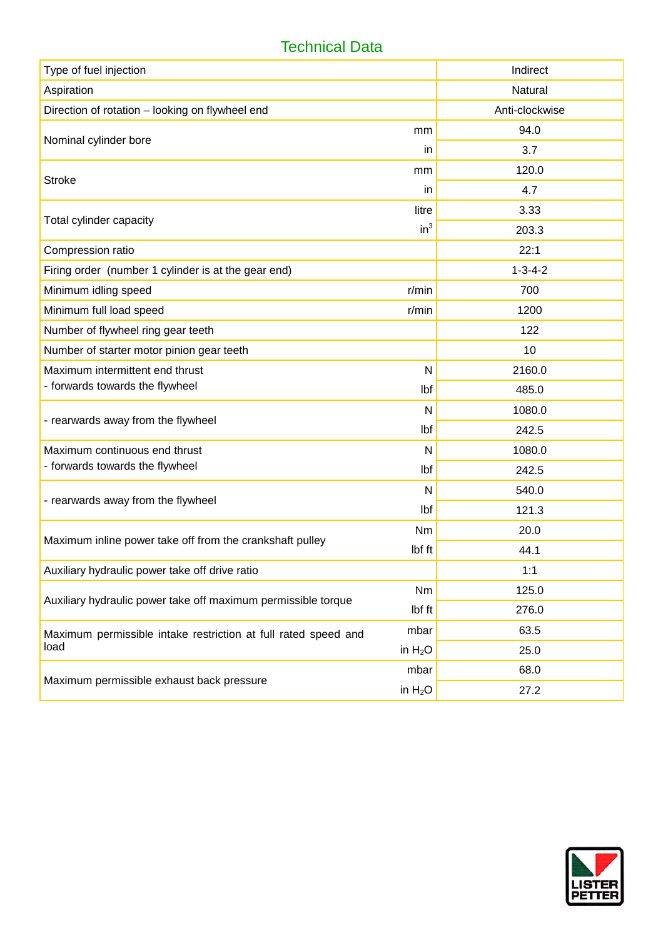# Technical Data

| Type of fuel injection                                         | Indirect     |                 |
|----------------------------------------------------------------|--------------|-----------------|
| Aspiration                                                     |              | Natural         |
| Direction of rotation - looking on flywheel end                |              | Anti-clockwise  |
|                                                                | mm           | 94.0            |
| Nominal cylinder bore                                          | in           | 3.7             |
| <b>Stroke</b>                                                  | mm           | 120.0           |
|                                                                | in           | 4.7             |
| Total cylinder capacity                                        | litre        | 3.33            |
|                                                                | $in^3$       | 203.3           |
| Compression ratio                                              |              | 22:1            |
| Firing order (number 1 cylinder is at the gear end)            |              | $1 - 3 - 4 - 2$ |
| Minimum idling speed                                           | r/min        | 700             |
| Minimum full load speed                                        | r/min        | 1200            |
| Number of flywheel ring gear teeth                             |              | 122             |
| Number of starter motor pinion gear teeth                      |              | 10              |
| Maximum intermittent end thrust                                | $\mathsf{N}$ | 2160.0          |
| - forwards towards the flywheel                                | Ibf          | 485.0           |
|                                                                | N            | 1080.0          |
| - rearwards away from the flywheel                             | Ibf          | 242.5           |
| Maximum continuous end thrust                                  | N            | 1080.0          |
| - forwards towards the flywheel                                | Ibf          | 242.5           |
|                                                                | N            | 540.0           |
| - rearwards away from the flywheel                             | Ibf          | 121.3           |
|                                                                | Nm           | 20.0            |
| Maximum inline power take off from the crankshaft pulley       | Ibf ft       | 44.1            |
| Auxiliary hydraulic power take off drive ratio                 |              | 1:1             |
|                                                                | <b>Nm</b>    | 125.0           |
| Auxiliary hydraulic power take off maximum permissible torque  | Ibf ft       | 276.0           |
| Maximum permissible intake restriction at full rated speed and | mbar         | 63.5            |
| load                                                           | in $H_2O$    | 25.0            |
|                                                                | mbar         | 68.0            |
| Maximum permissible exhaust back pressure                      | in $H_2O$    | 27.2            |